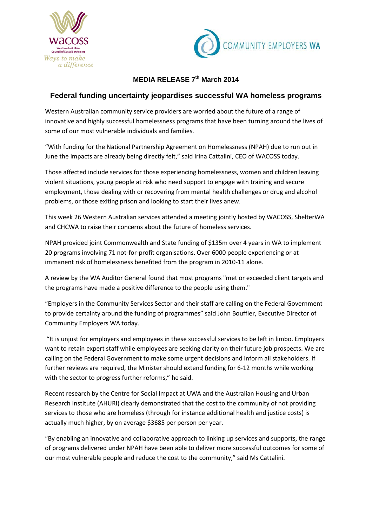



## **MEDIA RELEASE 7th March 2014**

## **Federal funding uncertainty jeopardises successful WA homeless programs**

Western Australian community service providers are worried about the future of a range of innovative and highly successful homelessness programs that have been turning around the lives of some of our most vulnerable individuals and families.

"With funding for the National Partnership Agreement on Homelessness (NPAH) due to run out in June the impacts are already being directly felt," said Irina Cattalini, CEO of WACOSS today.

Those affected include services for those experiencing homelessness, women and children leaving violent situations, young people at risk who need support to engage with training and secure employment, those dealing with or recovering from mental health challenges or drug and alcohol problems, or those exiting prison and looking to start their lives anew.

This week 26 Western Australian services attended a meeting jointly hosted by WACOSS, ShelterWA and CHCWA to raise their concerns about the future of homeless services.

NPAH provided joint Commonwealth and State funding of \$135m over 4 years in WA to implement 20 programs involving 71 not-for-profit organisations. Over 6000 people experiencing or at immanent risk of homelessness benefited from the program in 2010-11 alone.

A review by the WA Auditor General found that most programs "met or exceeded client targets and the programs have made a positive difference to the people using them."

"Employers in the Community Services Sector and their staff are calling on the Federal Government to provide certainty around the funding of programmes" said John Bouffler, Executive Director of Community Employers WA today.

"It is unjust for employers and employees in these successful services to be left in limbo. Employers want to retain expert staff while employees are seeking clarity on their future job prospects. We are calling on the Federal Government to make some urgent decisions and inform all stakeholders. If further reviews are required, the Minister should extend funding for 6-12 months while working with the sector to progress further reforms," he said.

Recent research by the Centre for Social Impact at UWA and the Australian Housing and Urban Research Institute (AHURI) clearly demonstrated that the cost to the community of not providing services to those who are homeless (through for instance additional health and justice costs) is actually much higher, by on average \$3685 per person per year.

"By enabling an innovative and collaborative approach to linking up services and supports, the range of programs delivered under NPAH have been able to deliver more successful outcomes for some of our most vulnerable people and reduce the cost to the community," said Ms Cattalini.